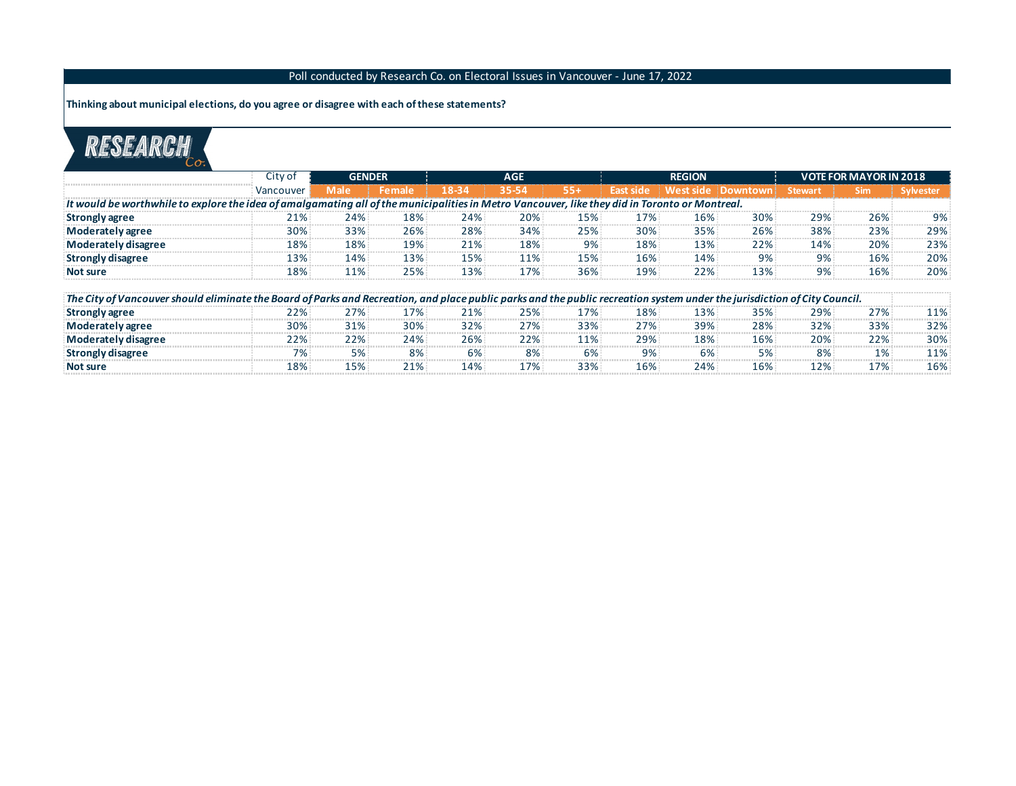## Poll conducted by Research Co. on Electoral Issues in Vancouver - June 17, 2022

**Thinking about municipal elections, do you agree or disagree with each of these statements?**

## RESEARCH

|                                                                                                                                                                           | City of   | <b>GENDER</b> |               |       | <b>AGE</b> |       |       | <b>REGION</b> |                      | <b>VOTE FOR MAYOR IN 2018</b> |       |             |  |
|---------------------------------------------------------------------------------------------------------------------------------------------------------------------------|-----------|---------------|---------------|-------|------------|-------|-------|---------------|----------------------|-------------------------------|-------|-------------|--|
|                                                                                                                                                                           | Vancouver | Male          | <b>Female</b> | 18-34 | 35-54      | $55+$ |       |               | West side   Downtown | <b>Stewart</b>                | Sim   | ' Sylvester |  |
| It would be worthwhile to explore the idea of amalgamating all of the municipalities in Metro Vancouver, like they did in Toronto or Montreal.                            |           |               |               |       |            |       |       |               |                      |                               |       |             |  |
| Strongly agree                                                                                                                                                            |           | 24%           | 18%           | 24%   | 20%        | 15%   | 17%   | 16%           | 30%                  | 29%                           | 26%   | 9%          |  |
| Moderately agree                                                                                                                                                          | 30%       | 33%           | 26%           | 28%   | 34%        | 25%   | 30%   | 35%           | 26%                  | 38%                           | 23%   | 29%         |  |
| Moderately disagree                                                                                                                                                       | 18%       | 18%           | 19%           | 21%   | 18%        | 9%    | 18%   | 13%           | 22%                  | 14%                           | 20%   | 23%         |  |
| <b>Strongly disagree</b>                                                                                                                                                  | 13%       | 14%           | 13%           | 15%   | 11%        | 15%   | 16%   | 14%           | 9%                   | $9\%$                         | 16%   | 20%         |  |
| Not sure                                                                                                                                                                  | 18%       | 11%           | 25%           | 13%   | 17%        | 36%   | 19%   | 22%           | 13%                  | 9%                            | 16%   | 20%         |  |
| The City of Vancouver should eliminate the Board of Parks and Recreation, and place public parks and the public recreation system under the jurisdiction of City Council. |           |               |               |       |            |       |       |               |                      |                               |       |             |  |
|                                                                                                                                                                           | 22%       | 27%.          | 17%           | 21%   | 25%        | 17%   | 18%   | 13%           | 35%                  | 29%                           | 27%   | 11%         |  |
| <b>Strongly agree</b>                                                                                                                                                     |           |               |               |       |            |       |       |               |                      |                               |       |             |  |
| <b>Moderately agree</b>                                                                                                                                                   | 30%       | 31%           | 30%           | 32%   | 27%        | 33%   | 27%   | 39%           | 28%                  | 32%                           | 33%   | 32%         |  |
| Moderately disagree                                                                                                                                                       | 22%       | 22%           | 24%           | 26%   | 22%        | 11%   | 29%   | 18%           | 16%                  | 20%                           | 22%   | 30%         |  |
| <b>Strongly disagree</b>                                                                                                                                                  | 7%:       | 5%            | 8%            | 6%    | 8%         | 6%    | $9\%$ | 6%            | 5%                   | $8\%$                         | $1\%$ | 11%         |  |
| Not sure                                                                                                                                                                  | 18%       | 15%           | 21%           | 14%   | 17%        | 33%   | 16%:  | 24%           | 16%                  | 12%                           | 17%   | 16%         |  |